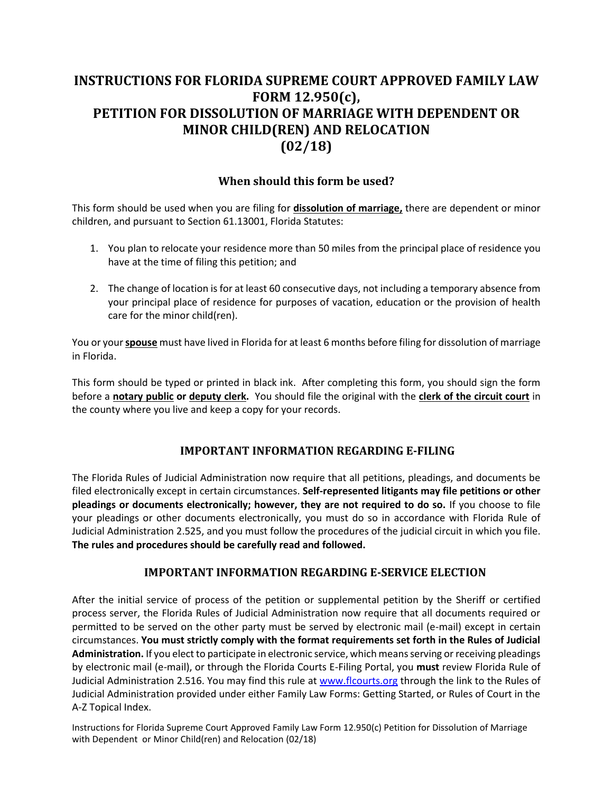# $FORM\ 12.950(c),$  **MINOR CHILD(REN) AND RELOCATION (02/18) INSTRUCTIONS FOR FLORIDA SUPREME COURT APPROVED FAMILY LAW PETITION FOR DISSOLUTION OF MARRIAGE WITH DEPENDENT OR**

## **When should this form be used?**

 This form should be used when you are filing for **dissolution of marriage,** there are dependent or minor children, and pursuant to Section 61.13001, Florida Statutes:

- 1. You plan to relocate your residence more than 50 miles from the principal place of residence you have at the time of filing this petition; and
- 2. The change of location is for at least 60 consecutive days, not including a temporary absence from your principal place of residence for purposes of vacation, education or the provision of health care for the minor child(ren).

 You or your **spouse** must have lived in Florida for at least 6 months before filing for dissolution of marriage in Florida.

 This form should be typed or printed in black ink. After completing this form, you should sign the form  before a **notary public or deputy clerk.** You should file the original with the **clerk of the circuit court** in the county where you live and keep a copy for your records.

## **IMPORTANT INFORMATION REGARDING E-FILING**

 The Florida Rules of Judicial Administration now require that all petitions, pleadings, and documents be  **pleadings or documents electronically; however, they are not required to do so.** If you choose to file your pleadings or other documents electronically, you must do so in accordance with Florida Rule of Judicial Administration 2.525, and you must follow the procedures of the judicial circuit in which you file. filed electronically except in certain circumstances. **Self-represented litigants may file petitions or other The rules and procedures should be carefully read and followed.** 

## **IMPORTANT INFORMATION REGARDING E-SERVICE ELECTION**

 After the initial service of process of the petition or supplemental petition by the Sheriff or certified process server, the Florida Rules of Judicial Administration now require that all documents required or permitted to be served on the other party must be served by electronic mail (e-mail) except in certain  circumstances. **You must strictly comply with the format requirements set forth in the Rules of Judicial Administration.** If you elect to participate in electronic service, which means serving or receiving pleadings by electronic mail (e-mail), or through the Florida Courts E-Filing Portal, you **must** review Florida Rule of Judicial Administration 2.516. You may find this rule at [www.flcourts.org](http://www.flcourts.org/) through the link to the Rules of Judicial Administration provided under either Family Law Forms: Getting Started, or Rules of Court in the A-Z Topical Index.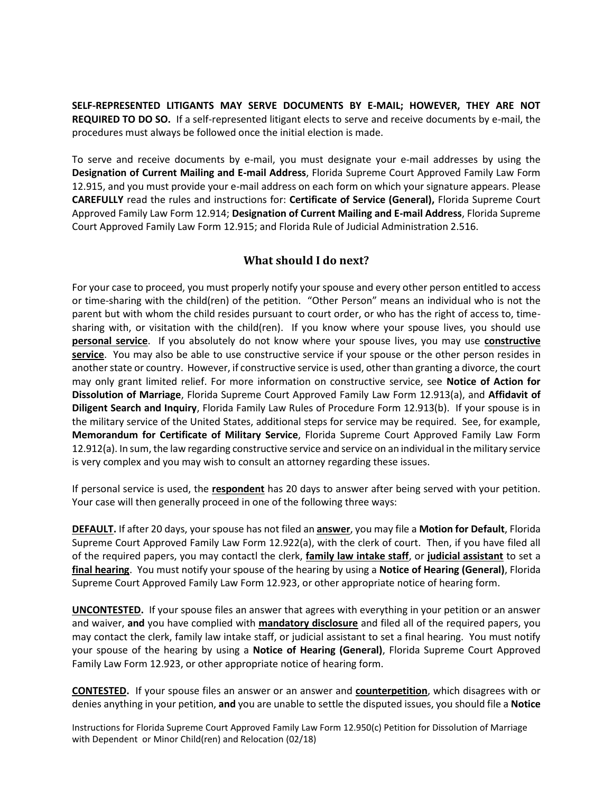**SELF-REPRESENTED LITIGANTS MAY SERVE DOCUMENTS BY E-MAIL; HOWEVER, THEY ARE NOT REQUIRED TO DO SO.** If a self-represented litigant elects to serve and receive documents by e-mail, the procedures must always be followed once the initial election is made.

 To serve and receive documents by e-mail, you must designate your e-mail addresses by using the  **Designation of Current Mailing and E-mail Address**, Florida Supreme Court Approved Family Law Form 12.915, and you must provide your e-mail address on each form on which your signature appears. Please **CAREFULLY** read the rules and instructions for: **Certificate of Service (General),** Florida Supreme Court Approved Family Law Form 12.914; **Designation of Current Mailing and E-mail Address**, Florida Supreme Court Approved Family Law Form 12.915; and Florida Rule of Judicial Administration 2.516.

# **What should I do next?**

 For your case to proceed, you must properly notify your spouse and every other person entitled to access or time-sharing with the child(ren) of the petition. "Other Person" means an individual who is not the parent but with whom the child resides pursuant to court order, or who has the right of access to, time- sharing with, or visitation with the child(ren). If you know where your spouse lives, you should use **personal service**. If you absolutely do not know where your spouse lives, you may use **constructive service**. You may also be able to use constructive service if your spouse or the other person resides in another state or country. However, if constructive service is used, other than granting a divorce, the court may only grant limited relief. For more information on constructive service, see **Notice of Action for Dissolution of Marriage**, Florida Supreme Court Approved Family Law Form 12.913(a), and **Affidavit of Diligent Search and Inquiry**, Florida Family Law Rules of Procedure Form 12.913(b). If your spouse is in the military service of the United States, additional steps for service may be required. See, for example, **Memorandum for Certificate of Military Service**, Florida Supreme Court Approved Family Law Form 12.912(a). In sum, the law regarding constructive service and service on an individual in the military service is very complex and you may wish to consult an attorney regarding these issues.

 If personal service is used, the **respondent** has 20 days to answer after being served with your petition. Your case will then generally proceed in one of the following three ways:

 **DEFAULT.** If after 20 days, your spouse has not filed an **answer**, you may file a **Motion for Default**, Florida Supreme Court Approved Family Law Form 12.922(a), with the clerk of court. Then, if you have filed all of the required papers, you may contactl the clerk, **family law intake staff**, or **judicial assistant** to set a **final hearing**. You must notify your spouse of the hearing by using a **Notice of Hearing (General)**, Florida Supreme Court Approved Family Law Form 12.923, or other appropriate notice of hearing form.

 **UNCONTESTED.** If your spouse files an answer that agrees with everything in your petition or an answer and waiver, **and** you have complied with **mandatory disclosure** and filed all of the required papers, you may contact the clerk, family law intake staff, or judicial assistant to set a final hearing. You must notify your spouse of the hearing by using a **Notice of Hearing (General)**, Florida Supreme Court Approved Family Law Form 12.923, or other appropriate notice of hearing form.

 **CONTESTED.** If your spouse files an answer or an answer and **counterpetition**, which disagrees with or denies anything in your petition, **and** you are unable to settle the disputed issues, you should file a **Notice**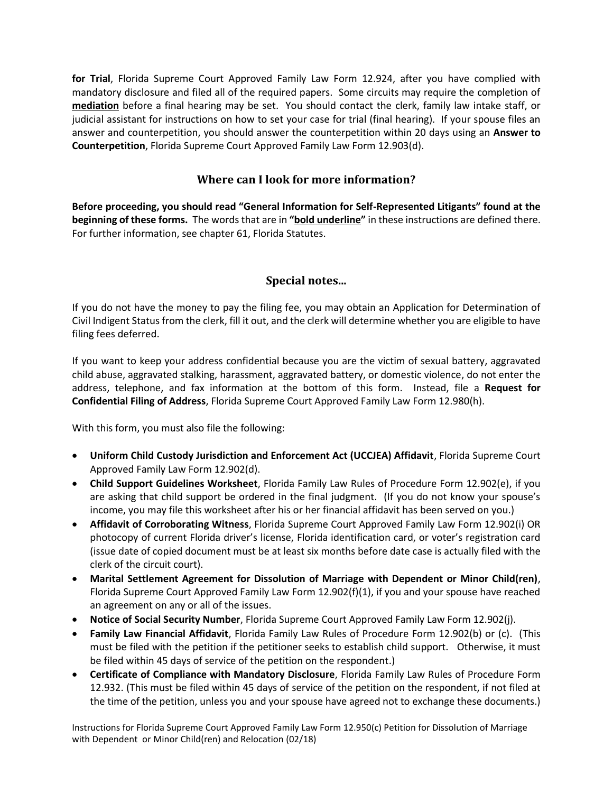**for Trial**, Florida Supreme Court Approved Family Law Form 12.924, after you have complied with mandatory disclosure and filed all of the required papers. Some circuits may require the completion of **mediation** before a final hearing may be set. You should contact the clerk, family law intake staff, or judicial assistant for instructions on how to set your case for trial (final hearing). If your spouse files an answer and counterpetition, you should answer the counterpetition within 20 days using an **Answer to Counterpetition**, Florida Supreme Court Approved Family Law Form 12.903(d).

## **Where can I look for more information?**

 **Before proceeding, you should read "General Information for Self-Represented Litigants" found at the beginning of these forms.** The words that are in **"bold underline"** in these instructions are defined there. For further information, see chapter 61, Florida Statutes.

# **Special notes...**

 If you do not have the money to pay the filing fee, you may obtain an Application for Determination of Civil Indigent Status from the clerk, fill it out, and the clerk will determine whether you are eligible to have filing fees deferred.

 If you want to keep your address confidential because you are the victim of sexual battery, aggravated child abuse, aggravated stalking, harassment, aggravated battery, or domestic violence, do not enter the **Confidential Filing of Address**, Florida Supreme Court Approved Family Law Form 12.980(h). address, telephone, and fax information at the bottom of this form. Instead, file a **Request for** 

With this form, you must also file the following:

- **Uniform Child Custody Jurisdiction and Enforcement Act (UCCJEA) Affidavit**, Florida Supreme Court Approved Family Law Form 12.902(d).
- are asking that child support be ordered in the final judgment. (If you do not know your spouse's **Child Support Guidelines Worksheet**, Florida Family Law Rules of Procedure Form 12.902(e), if you income, you may file this worksheet after his or her financial affidavit has been served on you.)
- **Affidavit of Corroborating Witness**, Florida Supreme Court Approved Family Law Form 12.902(i) OR photocopy of current Florida driver's license, Florida identification card, or voter's registration card (issue date of copied document must be at least six months before date case is actually filed with the clerk of the circuit court).
- **Marital Settlement Agreement for Dissolution of Marriage with Dependent or Minor Child(ren)**, an agreement on any or all of the issues. Florida Supreme Court Approved Family Law Form 12.902(f)(1), if you and your spouse have reached
- **Notice of Social Security Number**, Florida Supreme Court Approved Family Law Form 12.902(j).
- **Family Law Financial Affidavit**, Florida Family Law Rules of Procedure Form 12.902(b) or (c). (This must be filed with the petition if the petitioner seeks to establish child support. Otherwise, it must be filed within 45 days of service of the petition on the respondent.)
- **Certificate of Compliance with Mandatory Disclosure**, Florida Family Law Rules of Procedure Form 12.932. (This must be filed within 45 days of service of the petition on the respondent, if not filed at the time of the petition, unless you and your spouse have agreed not to exchange these documents.)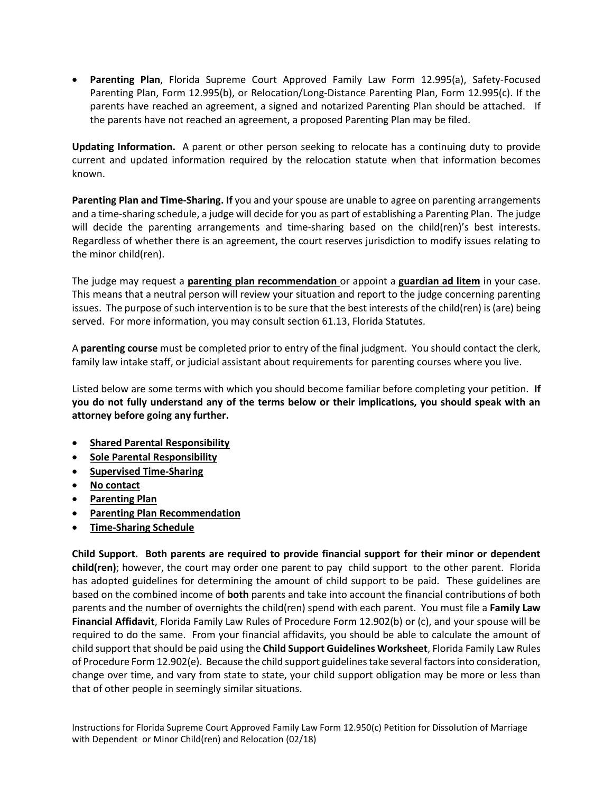**Parenting Plan**, Florida Supreme Court Approved Family Law Form 12.995(a), Safety-Focused Parenting Plan, Form 12.995(b), or Relocation/Long-Distance Parenting Plan, Form 12.995(c). If the parents have reached an agreement, a signed and notarized Parenting Plan should be attached. If the parents have not reached an agreement, a proposed Parenting Plan may be filed.

 **Updating Information.** A parent or other person seeking to relocate has a continuing duty to provide current and updated information required by the relocation statute when that information becomes known.

 **Parenting Plan and Time-Sharing. If** you and your spouse are unable to agree on parenting arrangements and a time-sharing schedule, a judge will decide for you as part of establishing a Parenting Plan. The judge will decide the parenting arrangements and time-sharing based on the child(ren)'s best interests. Regardless of whether there is an agreement, the court reserves jurisdiction to modify issues relating to the minor child(ren).

 The judge may request a **parenting plan recommendation** or appoint a **guardian ad litem** in your case. This means that a neutral person will review your situation and report to the judge concerning parenting issues. The purpose of such intervention is to be sure that the best interests of the child(ren) is (are) being served. For more information, you may consult section 61.13, Florida Statutes.

 A **parenting course** must be completed prior to entry of the final judgment. You should contact the clerk, family law intake staff, or judicial assistant about requirements for parenting courses where you live.

 Listed below are some terms with which you should become familiar before completing your petition. **If you do not fully understand any of the terms below or their implications, you should speak with an attorney before going any further.** 

- **Shared Parental Responsibility**
- **•** Sole Parental Responsibility
- **•** Supervised Time-Sharing
- **No contact**
- **Parenting Plan**
- **Parenting Plan Recommendation**
- **Time-Sharing Schedule**

 **Child Support. Both parents are required to provide financial support for their minor or dependent child(ren)**; however, the court may order one parent to pay child support to the other parent. Florida has adopted guidelines for determining the amount of child support to be paid. These guidelines are required to do the same. From your financial affidavits, you should be able to calculate the amount of child support that should be paid using the **Child Support Guidelines Worksheet**, Florida Family Law Rules of Procedure Form 12.902(e). Because the child support guidelines take several factors into consideration, change over time, and vary from state to state, your child support obligation may be more or less than based on the combined income of **both** parents and take into account the financial contributions of both parents and the number of overnights the child(ren) spend with each parent. You must file a **Family Law Financial Affidavit**, Florida Family Law Rules of Procedure Form 12.902(b) or (c), and your spouse will be that of other people in seemingly similar situations.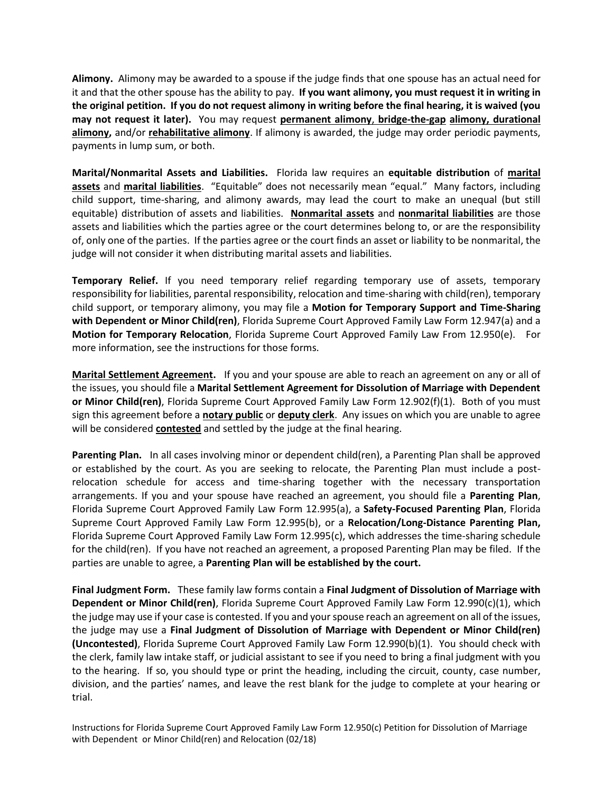**Alimony.** Alimony may be awarded to a spouse if the judge finds that one spouse has an actual need for it and that the other spouse has the ability to pay. **If you want alimony, you must request it in writing in the original petition. If you do not request alimony in writing before the final hearing, it is waived (you may not request it later).** You may request **permanent alimony**, **bridge-the-gap alimony, durational alimony,** and/or **rehabilitative alimony**. If alimony is awarded, the judge may order periodic payments, payments in lump sum, or both.

 **Marital/Nonmarital Assets and Liabilities.** Florida law requires an **equitable distribution** of **marital assets** and **marital liabilities**. "Equitable" does not necessarily mean "equal." Many factors, including child support, time-sharing, and alimony awards, may lead the court to make an unequal (but still equitable) distribution of assets and liabilities. **Nonmarital assets** and **nonmarital liabilities** are those assets and liabilities which the parties agree or the court determines belong to, or are the responsibility of, only one of the parties. If the parties agree or the court finds an asset or liability to be nonmarital, the judge will not consider it when distributing marital assets and liabilities.

 **Temporary Relief.** If you need temporary relief regarding temporary use of assets, temporary responsibility for liabilities, parental responsibility, relocation and time-sharing with child(ren), temporary  child support, or temporary alimony, you may file a **Motion for Temporary Support and Time-Sharing with Dependent or Minor Child(ren)**, Florida Supreme Court Approved Family Law Form 12.947(a) and a  **Motion for Temporary Relocation**, Florida Supreme Court Approved Family Law From 12.950(e). For more information, see the instructions for those forms.

 **Marital Settlement Agreement.** If you and your spouse are able to reach an agreement on any or all of  **or Minor Child(ren)**, Florida Supreme Court Approved Family Law Form 12.902(f)(1). Both of you must  sign this agreement before a **notary public** or **deputy clerk**. Any issues on which you are unable to agree the issues, you should file a **Marital Settlement Agreement for Dissolution of Marriage with Dependent**  will be considered **contested** and settled by the judge at the final hearing.

Parenting Plan. In all cases involving minor or dependent child(ren), a Parenting Plan shall be approved or established by the court. As you are seeking to relocate, the Parenting Plan must include a post- arrangements. If you and your spouse have reached an agreement, you should file a **Parenting Plan**, Florida Supreme Court Approved Family Law Form 12.995(a), a **Safety-Focused Parenting Plan**, Florida Supreme Court Approved Family Law Form 12.995(b), or a **Relocation/Long-Distance Parenting Plan,**  Florida Supreme Court Approved Family Law Form 12.995(c), which addresses the time-sharing schedule for the child(ren). If you have not reached an agreement, a proposed Parenting Plan may be filed. If the parties are unable to agree, a **Parenting Plan will be established by the court.**  relocation schedule for access and time-sharing together with the necessary transportation

 **Final Judgment Form.** These family law forms contain a **Final Judgment of Dissolution of Marriage with Dependent or Minor Child(ren)**, Florida Supreme Court Approved Family Law Form 12.990(c)(1), which the judge may use if your case is contested. If you and your spouse reach an agreement on all of the issues,  the judge may use a **Final Judgment of Dissolution of Marriage with Dependent or Minor Child(ren) (Uncontested)**, Florida Supreme Court Approved Family Law Form 12.990(b)(1). You should check with the clerk, family law intake staff, or judicial assistant to see if you need to bring a final judgment with you to the hearing. If so, you should type or print the heading, including the circuit, county, case number, division, and the parties' names, and leave the rest blank for the judge to complete at your hearing or trial.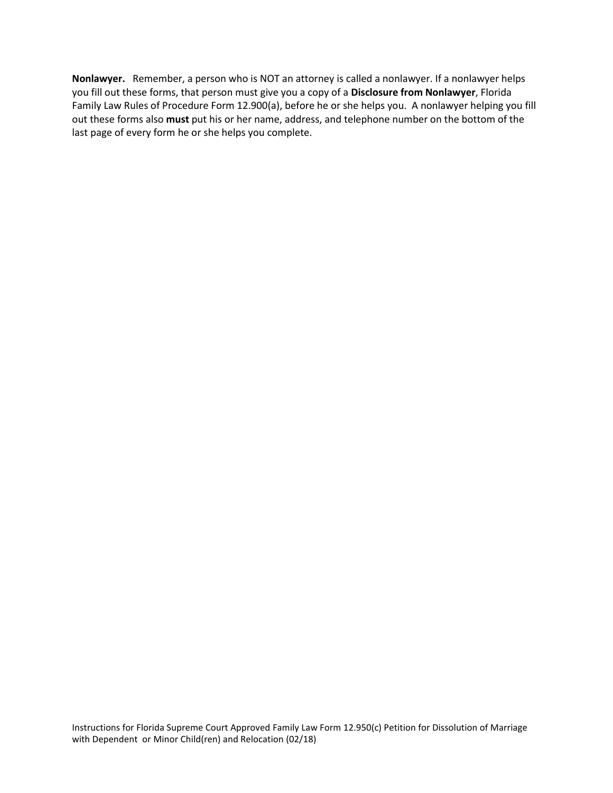**Nonlawyer.** Remember, a person who is NOT an attorney is called a nonlawyer. If a nonlawyer helps you fill out these forms, that person must give you a copy of a **Disclosure from Nonlawyer**, Florida out these forms also **must** put his or her name, address, and telephone number on the bottom of the Family Law Rules of Procedure Form 12.900(a), before he or she helps you. A nonlawyer helping you fill last page of every form he or she helps you complete.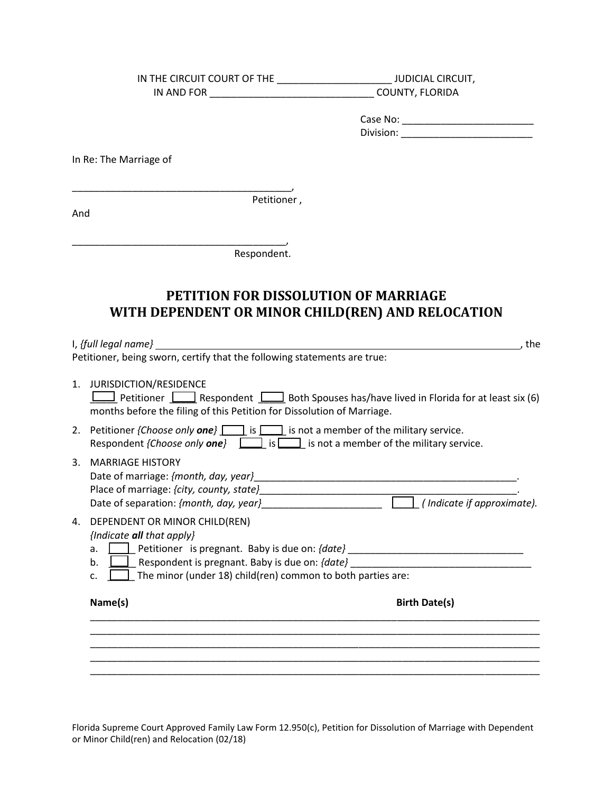IN THE CIRCUIT COURT OF THE \_\_\_\_\_\_\_\_\_\_\_\_\_\_\_\_\_\_\_\_\_ JUDICIAL CIRCUIT, IN AND FOR \_\_\_\_\_\_\_\_\_\_\_\_\_\_\_\_\_\_\_\_\_\_\_\_\_\_\_\_\_\_ COUNTY, FLORIDA

> Case No: \_\_\_\_\_\_\_\_\_\_\_\_\_\_\_\_\_\_\_\_\_\_\_\_ Division: \_\_\_\_\_\_\_\_\_\_\_\_\_\_\_\_\_\_\_\_\_\_\_\_

In Re: The Marriage of

\_\_\_\_\_\_\_\_\_\_\_\_\_\_\_\_\_\_\_\_\_\_\_\_\_\_\_\_\_\_\_\_\_\_\_\_\_\_\_\_, Petitioner ,

And

Respondent.

\_\_\_\_\_\_\_\_\_\_\_\_\_\_\_\_\_\_\_\_\_\_\_\_\_\_\_\_\_\_\_\_\_\_\_\_\_\_\_,

# **PETITION FOR DISSOLUTION OF MARRIAGE WITH DEPENDENT OR MINOR CHILD(REN) AND RELOCATION**

|    | $I,$ {full legal name} _                                                                                                                                                                                                                                                                                       | the |  |  |  |
|----|----------------------------------------------------------------------------------------------------------------------------------------------------------------------------------------------------------------------------------------------------------------------------------------------------------------|-----|--|--|--|
|    | Petitioner, being sworn, certify that the following statements are true:                                                                                                                                                                                                                                       |     |  |  |  |
| 1. | JURISDICTION/RESIDENCE<br><b>Detitioner</b> $\Box$ Respondent $\Box$ Both Spouses has/have lived in Florida for at least six (6)<br>months before the filing of this Petition for Dissolution of Marriage.                                                                                                     |     |  |  |  |
| 2. | Petitioner {Choose only <b>one</b> } $\boxed{\phantom{a}}$ is $\boxed{\phantom{a}}$ is not a member of the military service.<br>Respondent <i>{Choose only one}</i> $\Box$ is $\Box$ is not a member of the military service.                                                                                  |     |  |  |  |
| 3. | <b>MARRIAGE HISTORY</b><br>Date of marriage: {month, day, year} [1] Date of marriage and many states of marriage: {month, day, year}<br>Place of marriage: {city, county, state}<br>Date of separation: {month, day, year}<br>Date of separation: {month, day, year}<br>$\Box$ ( Indicate if approximate).     |     |  |  |  |
| 4. | DEPENDENT OR MINOR CHILD(REN)<br>{Indicate all that apply}<br>Petitioner is pregnant. Baby is due on: {date} _________________________________<br>a.<br><b>Example 1</b> Respondent is pregnant. Baby is due on: $\{date\}$<br>b.<br>$\perp$ The minor (under 18) child(ren) common to both parties are:<br>c. |     |  |  |  |
|    | Name(s)<br><b>Birth Date(s)</b>                                                                                                                                                                                                                                                                                |     |  |  |  |
|    |                                                                                                                                                                                                                                                                                                                |     |  |  |  |
|    |                                                                                                                                                                                                                                                                                                                |     |  |  |  |
|    |                                                                                                                                                                                                                                                                                                                |     |  |  |  |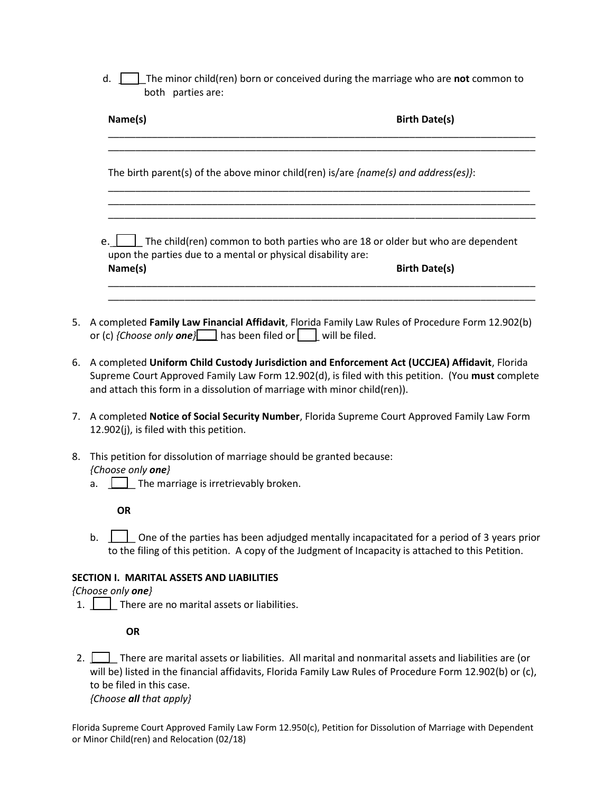both parties are: d. \_\_\_\_\_The minor child(ren) born or conceived during the marriage who are **not** common to

|    | Name(s)                                                                                                                                                                                                                                                                          | <b>Birth Date(s)</b>                                                                                                                                                                            |
|----|----------------------------------------------------------------------------------------------------------------------------------------------------------------------------------------------------------------------------------------------------------------------------------|-------------------------------------------------------------------------------------------------------------------------------------------------------------------------------------------------|
|    | The birth parent(s) of the above minor child(ren) is/are {name(s) and address(es)}:                                                                                                                                                                                              |                                                                                                                                                                                                 |
|    | upon the parties due to a mental or physical disability are:<br>Name(s)                                                                                                                                                                                                          | e. $\Box$ The child(ren) common to both parties who are 18 or older but who are dependent<br><b>Birth Date(s)</b>                                                                               |
| 5. | or (c) {Choose only <b>one</b> } $\Box$ has been filed or will be filed.                                                                                                                                                                                                         | A completed Family Law Financial Affidavit, Florida Family Law Rules of Procedure Form 12.902(b)                                                                                                |
| 6. | A completed Uniform Child Custody Jurisdiction and Enforcement Act (UCCJEA) Affidavit, Florida<br>Supreme Court Approved Family Law Form 12.902(d), is filed with this petition. (You must complete<br>and attach this form in a dissolution of marriage with minor child(ren)). |                                                                                                                                                                                                 |
| 7. | A completed Notice of Social Security Number, Florida Supreme Court Approved Family Law Form<br>12.902(j), is filed with this petition.                                                                                                                                          |                                                                                                                                                                                                 |
| 8. | This petition for dissolution of marriage should be granted because:<br>{Choose only one}<br>$\Box$ The marriage is irretrievably broken.<br>a.                                                                                                                                  |                                                                                                                                                                                                 |
|    | <b>OR</b>                                                                                                                                                                                                                                                                        |                                                                                                                                                                                                 |
|    | b.                                                                                                                                                                                                                                                                               | One of the parties has been adjudged mentally incapacitated for a period of 3 years prior<br>to the filing of this petition. A copy of the Judgment of Incapacity is attached to this Petition. |

#### **SECTION I. MARITAL ASSETS AND LIABILITIES**

*{Choose only one}* 

1.  $\Box$  There are no marital assets or liabilities.

#### **OR**

2. **\_\_\_\_** There are marital assets or liabilities. All marital and nonmarital assets and liabilities are (or will be) listed in the financial affidavits, Florida Family Law Rules of Procedure Form 12.902(b) or (c), to be filed in this case.

 *{Choose all that apply}*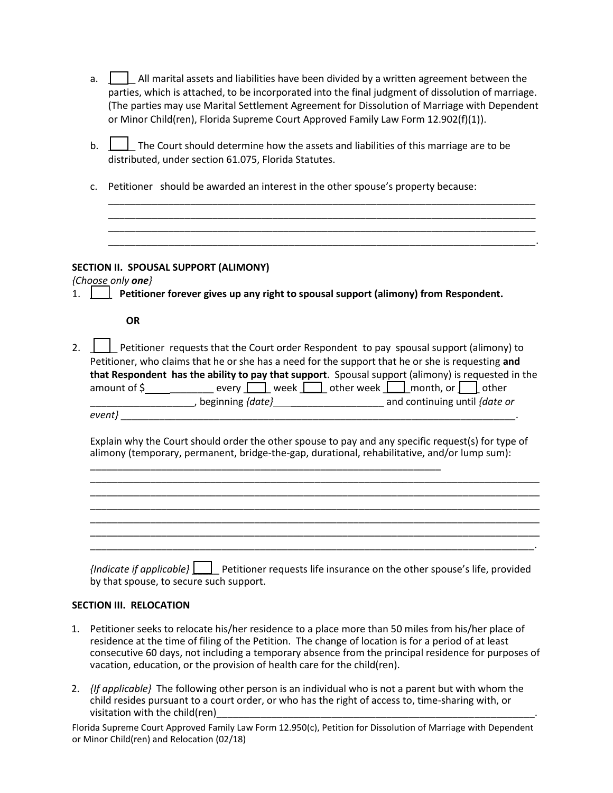| a.          | All marital assets and liabilities have been divided by a written agreement between the<br>parties, which is attached, to be incorporated into the final judgment of dissolution of marriage.<br>(The parties may use Marital Settlement Agreement for Dissolution of Marriage with Dependent<br>or Minor Child(ren), Florida Supreme Court Approved Family Law Form 12.902(f)(1)).                                                                                                                                                                                                                                                                                                                                                                     |
|-------------|---------------------------------------------------------------------------------------------------------------------------------------------------------------------------------------------------------------------------------------------------------------------------------------------------------------------------------------------------------------------------------------------------------------------------------------------------------------------------------------------------------------------------------------------------------------------------------------------------------------------------------------------------------------------------------------------------------------------------------------------------------|
| b.          | The Court should determine how the assets and liabilities of this marriage are to be<br>distributed, under section 61.075, Florida Statutes.                                                                                                                                                                                                                                                                                                                                                                                                                                                                                                                                                                                                            |
| $C_{\star}$ | Petitioner should be awarded an interest in the other spouse's property because:                                                                                                                                                                                                                                                                                                                                                                                                                                                                                                                                                                                                                                                                        |
| 1.          | SECTION II. SPOUSAL SUPPORT (ALIMONY)<br>{Choose only one}<br><b>EXECUTE:</b> Petitioner forever gives up any right to spousal support (alimony) from Respondent.                                                                                                                                                                                                                                                                                                                                                                                                                                                                                                                                                                                       |
| 2.          | <b>OR</b><br>$\perp$ Petitioner requests that the Court order Respondent to pay spousal support (alimony) to<br>Petitioner, who claims that he or she has a need for the support that he or she is requesting and<br>that Respondent has the ability to pay that support. Spousal support (alimony) is requested in the<br>amount of \$______________ every $\boxed{\phantom{2}}$ week $\boxed{\phantom{2}}$ other week $\boxed{\phantom{2}}$ month, or $\boxed{\phantom{2}}$ other<br>Lattitude of the same continuing until {date or sequence of date of the sequence of the sequence of the sequence of $\theta$ and continuing until {date or<br>Explain why the Court should order the other spouse to pay and any specific request(s) for type of |
|             | alimony (temporary, permanent, bridge-the-gap, durational, rehabilitative, and/or lump sum):                                                                                                                                                                                                                                                                                                                                                                                                                                                                                                                                                                                                                                                            |
|             | <i>{Indicate if applicable}</i> $\boxed{\phantom{a}}$ Petitioner requests life insurance on the other spouse's life, provided<br>by that spouse, to secure such support.                                                                                                                                                                                                                                                                                                                                                                                                                                                                                                                                                                                |

#### **SECTION III. RELOCATION**

- 1. Petitioner seeks to relocate his/her residence to a place more than 50 miles from his/her place of residence at the time of filing of the Petition. The change of location is for a period of at least consecutive 60 days, not including a temporary absence from the principal residence for purposes of vacation, education, or the provision of health care for the child(ren).
- 2. *{If applicable}* The following other person is an individual who is not a parent but with whom the child resides pursuant to a court order, or who has the right of access to, time-sharing with, or visitation with the child(ren)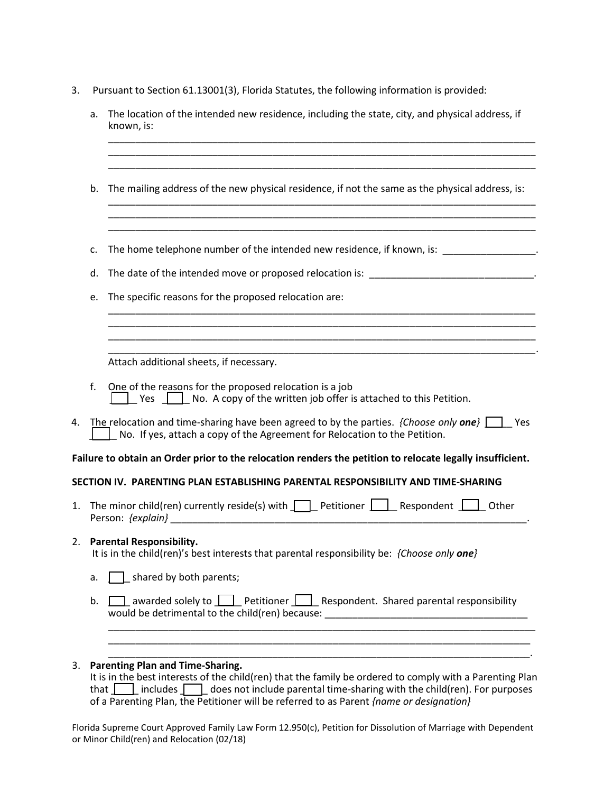3. Pursuant to Section 61.13001(3), Florida Statutes, the following information is provided:

|    | a.                                                                                                                                                                                               | The location of the intended new residence, including the state, city, and physical address, if<br>known, is:                                                                                                    |  |
|----|--------------------------------------------------------------------------------------------------------------------------------------------------------------------------------------------------|------------------------------------------------------------------------------------------------------------------------------------------------------------------------------------------------------------------|--|
|    | b.                                                                                                                                                                                               | The mailing address of the new physical residence, if not the same as the physical address, is:                                                                                                                  |  |
|    | c.                                                                                                                                                                                               | The home telephone number of the intended new residence, if known, is:                                                                                                                                           |  |
| d. |                                                                                                                                                                                                  | The date of the intended move or proposed relocation is: _______________________________.                                                                                                                        |  |
|    | e.                                                                                                                                                                                               | The specific reasons for the proposed relocation are:                                                                                                                                                            |  |
|    |                                                                                                                                                                                                  |                                                                                                                                                                                                                  |  |
|    |                                                                                                                                                                                                  | <u> 1989 - Johann John Stone, markin film fan de ferske fan de ferske fan de ferske fan de ferske fan de ferske</u><br>Attach additional sheets, if necessary.                                                   |  |
|    |                                                                                                                                                                                                  |                                                                                                                                                                                                                  |  |
|    | f.                                                                                                                                                                                               | One of the reasons for the proposed relocation is a job<br>$\blacksquare$ Yes $\blacksquare$ No. A copy of the written job offer is attached to this Petition.                                                   |  |
|    | 4. The relocation and time-sharing have been agreed to by the parties. {Choose only <b>one</b> } $\Box$ Yes<br>$\Box$ No. If yes, attach a copy of the Agreement for Relocation to the Petition. |                                                                                                                                                                                                                  |  |
|    |                                                                                                                                                                                                  | Failure to obtain an Order prior to the relocation renders the petition to relocate legally insufficient.                                                                                                        |  |
|    |                                                                                                                                                                                                  | SECTION IV. PARENTING PLAN ESTABLISHING PARENTAL RESPONSIBILITY AND TIME-SHARING                                                                                                                                 |  |
|    |                                                                                                                                                                                                  | 1. The minor child(ren) currently reside(s) with $\Box$ Petitioner $\Box$ Respondent $\Box$ Other                                                                                                                |  |
|    |                                                                                                                                                                                                  | 2. Parental Responsibility.<br>It is in the child(ren)'s best interests that parental responsibility be: {Choose only one}                                                                                       |  |
|    | a.                                                                                                                                                                                               | $\mathsf{L}$ shared by both parents;                                                                                                                                                                             |  |
|    | b.                                                                                                                                                                                               | awarded solely to $\Box$ Petitioner $\Box$ Respondent. Shared parental responsibility<br>would be detrimental to the child(ren) because: ________________________________                                        |  |
|    |                                                                                                                                                                                                  |                                                                                                                                                                                                                  |  |
| 3. |                                                                                                                                                                                                  | Parenting Plan and Time-Sharing.                                                                                                                                                                                 |  |
|    |                                                                                                                                                                                                  | It is in the best interests of the child(ren) that the family be ordered to comply with a Parenting Plan<br>that $\Box$ includes $\Box$ does not include parental time-sharing with the child(ren). For purposes |  |

 of a Parenting Plan, the Petitioner will be referred to as Parent *{name or designation}*  Florida Supreme Court Approved Family Law Form 12.950(c), Petition for Dissolution of Marriage with Dependent

or Minor Child(ren) and Relocation (02/18)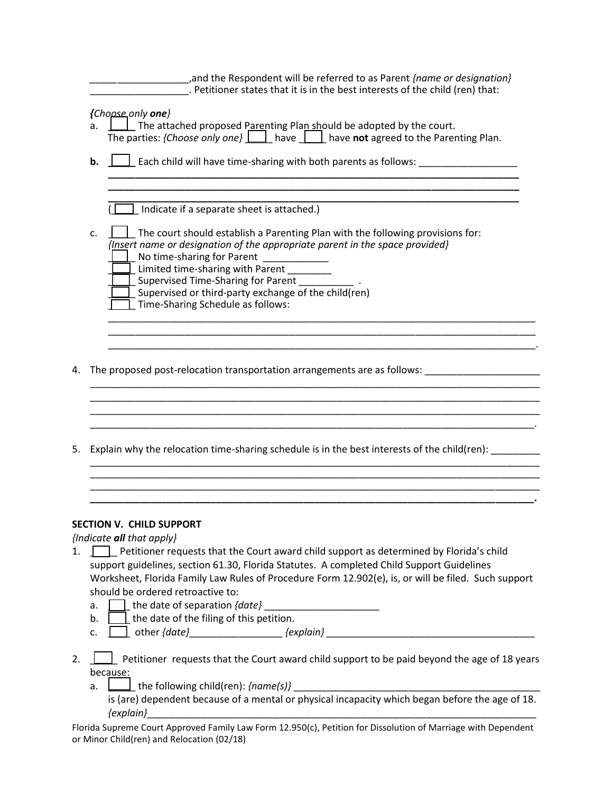*\_\_\_\_\_*\_\_\_\_\_\_\_\_\_\_\_\_\_,and the Respondent will be referred to as Parent *{name or designation}*  \_\_\_\_\_\_\_\_\_\_\_\_\_\_\_\_\_\_. Petitioner states that it is in the best interests of the child (ren) that:

 *{Choose only one}* 

a. **Letter** The attached proposed Parenting Plan should be adopted by the court. The parties: *{Choose only one}* <u>| |</u> have | | have **not** agreed to the Parenting Plan.

**\_\_\_\_\_\_\_\_\_\_\_\_\_\_\_\_\_\_\_\_\_\_\_\_\_\_\_\_\_\_\_\_\_\_\_\_\_\_\_\_\_\_\_\_\_\_\_\_\_\_\_\_\_\_\_\_\_\_\_\_\_\_\_\_\_\_\_\_\_\_\_\_\_\_\_ \_\_\_\_\_\_\_\_\_\_\_\_\_\_\_\_\_\_\_\_\_\_\_\_\_\_\_\_\_\_\_\_\_\_\_\_\_\_\_\_\_\_\_\_\_\_\_\_\_\_\_\_\_\_\_\_\_\_\_\_\_\_\_\_\_\_\_\_\_\_\_\_\_\_\_** 

\_\_\_\_\_\_\_\_\_\_\_\_\_\_\_\_\_\_\_\_\_\_\_\_\_\_\_\_\_\_\_\_\_\_\_\_\_\_\_\_\_\_\_\_\_\_\_\_\_\_\_\_\_\_\_\_\_\_\_\_\_\_\_\_\_\_\_\_\_\_\_\_\_\_\_\_\_\_ \_\_\_\_\_\_\_\_\_\_\_\_\_\_\_\_\_\_\_\_\_\_\_\_\_\_\_\_\_\_\_\_\_\_\_\_\_\_\_\_\_\_\_\_\_\_\_\_\_\_\_\_\_\_\_\_\_\_\_\_\_\_\_\_\_\_\_\_\_\_\_\_\_\_\_\_\_\_

\_\_\_\_\_\_\_\_\_\_\_\_\_\_\_\_\_\_\_\_\_\_\_\_\_\_\_\_\_\_\_\_\_\_\_\_\_\_\_\_\_\_\_\_\_\_\_\_\_\_\_\_\_\_\_\_\_\_\_\_\_\_\_\_\_\_\_\_\_\_\_\_\_\_\_\_\_\_.

\_\_\_\_\_\_\_\_\_\_\_\_\_\_\_\_\_\_\_\_\_\_\_\_\_\_\_\_\_\_\_\_\_\_\_\_\_\_\_\_\_\_\_\_\_\_\_\_\_\_\_\_\_\_\_\_\_\_\_\_\_\_\_\_\_\_\_\_\_\_\_\_\_\_\_\_\_\_\_\_\_\_ \_\_\_\_\_\_\_\_\_\_\_\_\_\_\_\_\_\_\_\_\_\_\_\_\_\_\_\_\_\_\_\_\_\_\_\_\_\_\_\_\_\_\_\_\_\_\_\_\_\_\_\_\_\_\_\_\_\_\_\_\_\_\_\_\_\_\_\_\_\_\_\_\_\_\_\_\_\_\_\_\_\_ \_\_\_\_\_\_\_\_\_\_\_\_\_\_\_\_\_\_\_\_\_\_\_\_\_\_\_\_\_\_\_\_\_\_\_\_\_\_\_\_\_\_\_\_\_\_\_\_\_\_\_\_\_\_\_\_\_\_\_\_\_\_\_\_\_\_\_\_\_\_\_\_\_\_\_\_\_\_\_\_\_\_

\_\_\_\_\_\_\_\_\_\_\_\_\_\_\_\_\_\_\_\_\_\_\_\_\_\_\_\_\_\_\_\_\_\_\_\_\_\_\_\_\_\_\_\_\_\_\_\_\_\_\_\_\_\_\_\_\_\_\_\_\_\_\_\_\_\_\_\_\_\_\_\_\_\_\_\_\_\_\_\_\_\_ \_\_\_\_\_\_\_\_\_\_\_\_\_\_\_\_\_\_\_\_\_\_\_\_\_\_\_\_\_\_\_\_\_\_\_\_\_\_\_\_\_\_\_\_\_\_\_\_\_\_\_\_\_\_\_\_\_\_\_\_\_\_\_\_\_\_\_\_\_\_\_\_\_\_\_\_\_\_\_\_\_\_ \_\_\_\_\_\_\_\_\_\_\_\_\_\_\_\_\_\_\_\_\_\_\_\_\_\_\_\_\_\_\_\_\_\_\_\_\_\_\_\_\_\_\_\_\_\_\_\_\_\_\_\_\_\_\_\_\_\_\_\_\_\_\_\_\_\_\_\_\_\_\_\_\_\_\_\_\_\_\_\_\_\_

**\_\_\_\_\_\_\_\_\_\_\_\_\_\_\_\_\_\_\_\_\_\_\_\_\_\_\_\_\_\_\_\_\_\_\_\_\_\_\_\_\_\_\_\_\_\_\_\_\_\_\_\_\_\_\_\_\_\_\_\_\_\_\_\_\_\_\_\_\_\_\_\_\_\_\_\_\_\_\_\_\_.** 

\_\_\_\_\_\_\_\_\_\_\_\_\_\_\_\_\_\_\_\_\_\_\_\_\_\_\_\_\_\_\_\_\_\_\_\_\_\_\_\_\_\_\_\_\_\_\_\_\_\_\_\_\_\_\_\_\_\_\_\_\_\_\_\_\_\_\_\_\_\_\_\_\_\_\_\_\_\_\_\_\_.

**b.**  $\Box$  **Each child will have time-sharing with both parents as follows:** 

**\_\_\_\_\_\_\_\_\_\_\_\_\_\_\_\_\_\_\_\_\_\_\_\_\_\_\_\_\_\_\_\_\_\_\_\_\_\_\_\_\_\_\_\_\_\_\_\_\_\_\_\_\_\_\_\_\_\_\_\_\_\_\_\_\_\_\_\_\_\_\_\_\_\_\_**   $\sqrt{}$  Indicate if a separate sheet is attached.

c.  $\Box$  The court should establish a Parenting Plan with the following provisions for:  $\boxed{\underline{\qquad}}$  No time-sharing for Parent  $\line{\qquad}$ *{Insert name or designation of the appropriate parent in the space provided}*   $\Box$  Limited time-sharing with Parent  $\Box$ **Letter** Supervised Time-Sharing for Parent **Letter** Supervised Time-Sharing for Parent **Letter** Supervised or third-party exchange of the child(ren) \_\_\_\_\_ Time-Sharing Schedule as follows:

- 4. The proposed post-relocation transportation arrangements are as follows: \_\_\_\_\_\_\_\_\_\_\_\_\_\_\_\_\_\_\_\_\_\_\_
- 5. Explain why the relocation time-sharing schedule is in the best interests of the child(ren):

## **SECTION V. CHILD SUPPORT**

 *{Indicate all that apply}* 

- should be ordered retroactive to: 1. **I. Petitioner requests that the Court award child support as determined by Florida's child** support guidelines, section 61.30, Florida Statutes. A completed Child Support Guidelines Worksheet, Florida Family Law Rules of Procedure Form 12.902(e), is, or will be filed. Such support
	- a.  $\Box$  the date of separation *{date}* \_\_\_\_\_\_\_\_\_\_\_\_\_\_\_\_\_\_\_\_\_\_\_\_
	- b.  $\Box$  the date of the filing of this petition.
	- c. \_\_\_\_ other *{date}*\_\_\_\_\_\_\_\_\_\_\_\_\_\_\_\_\_ *{explain}* \_\_\_\_\_\_\_\_\_\_\_\_\_\_\_\_\_\_\_\_\_\_\_\_\_\_\_\_\_\_\_\_\_\_\_\_\_\_
- 2.  $\Box$  Petitioner requests that the Court award child support to be paid beyond the age of 18 years because:

a. \_\_\_\_\_ the following child(ren): *{name(s)}* \_\_\_\_\_\_\_\_\_\_\_\_\_\_\_\_\_\_\_\_\_\_\_\_\_\_\_\_\_\_\_\_\_\_\_\_\_\_\_\_\_\_\_\_\_

is (are) dependent because of a mental or physical incapacity which began before the age of 18. *{explain}*\_\_\_\_\_\_\_\_\_\_\_\_\_\_\_\_\_\_\_\_\_\_\_\_\_\_\_\_\_\_\_\_\_\_\_\_\_\_\_\_\_\_\_\_\_\_\_\_\_\_\_\_\_\_\_\_\_\_\_\_\_\_\_\_\_\_\_\_\_\_\_

 or Minor Child(ren) and Relocation (02/18) Florida Supreme Court Approved Family Law Form 12.950(c), Petition for Dissolution of Marriage with Dependent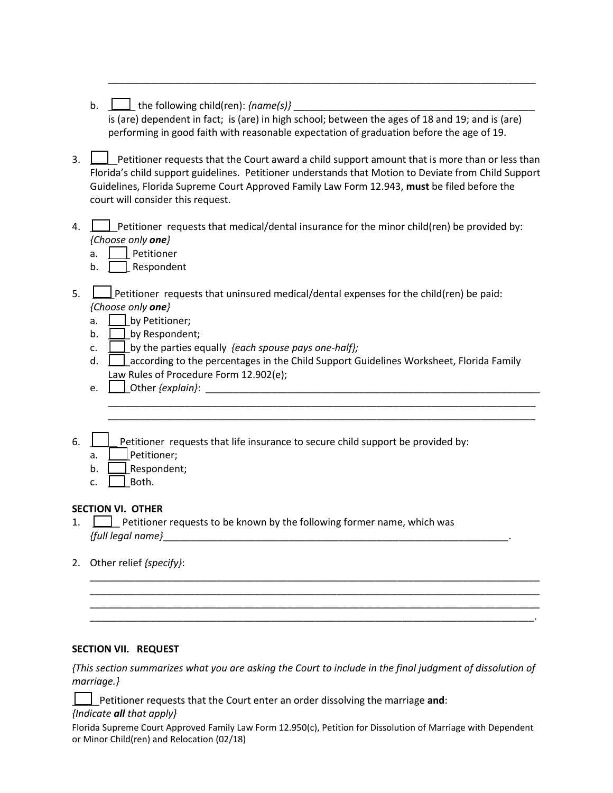b. \_\_\_\_\_ the following child(ren): *{name(s)}* \_\_\_\_\_\_\_\_\_\_\_\_\_\_\_\_\_\_\_\_\_\_\_\_\_\_\_\_\_\_\_\_\_\_\_\_\_\_\_\_\_\_\_\_ is (are) dependent in fact; is (are) in high school; between the ages of 18 and 19; and is (are) performing in good faith with reasonable expectation of graduation before the age of 19.

\_\_\_\_\_\_\_\_\_\_\_\_\_\_\_\_\_\_\_\_\_\_\_\_\_\_\_\_\_\_\_\_\_\_\_\_\_\_\_\_\_\_\_\_\_\_\_\_\_\_\_\_\_\_\_\_\_\_\_\_\_\_\_\_\_\_\_\_\_\_\_\_\_\_\_\_\_\_

- 3.  $\Box$  Petitioner requests that the Court award a child support amount that is more than or less than Florida's child support guidelines. Petitioner understands that Motion to Deviate from Child Support Guidelines, Florida Supreme Court Approved Family Law Form 12.943, **must** be filed before the court will consider this request.
- *{Choose only one}*  4.  $\Box$  Petitioner requests that medical/dental insurance for the minor child(ren) be provided by:
	- a. **| |** Petitioner
	- b. **Nespondent**
- 5. \_\_\_\_Petitioner requests that uninsured medical/dental expenses for the child(ren) be paid: *{Choose only one}* 
	- a. **L**by Petitioner;
	- by Respondent;
	- b.  $\bigsqcup$  by Respondent;<br>c.  $\bigsqcup$  by the parties equally *{each spouse pays one-half};*
	- Law Rules of Procedure Form 12.902(e); d.  $\Box$  according to the percentages in the Child Support Guidelines Worksheet, Florida Family

\_\_\_\_\_\_\_\_\_\_\_\_\_\_\_\_\_\_\_\_\_\_\_\_\_\_\_\_\_\_\_\_\_\_\_\_\_\_\_\_\_\_\_\_\_\_\_\_\_\_\_\_\_\_\_\_\_\_\_\_\_\_\_\_\_\_\_\_\_\_\_\_\_\_\_\_\_\_ \_\_\_\_\_\_\_\_\_\_\_\_\_\_\_\_\_\_\_\_\_\_\_\_\_\_\_\_\_\_\_\_\_\_\_\_\_\_\_\_\_\_\_\_\_\_\_\_\_\_\_\_\_\_\_\_\_\_\_\_\_\_\_\_\_\_\_\_\_\_\_\_\_\_\_\_\_\_

- e. \_\_\_\_Other *{explain}*: \_\_\_\_\_\_\_\_\_\_\_\_\_\_\_\_\_\_\_\_\_\_\_\_\_\_\_\_\_\_\_\_\_\_\_\_\_\_\_\_\_\_\_\_\_\_\_\_\_\_\_\_\_\_\_\_\_\_\_\_\_
- 6.  $\Box$  Petitioner requests that life insurance to secure child support be provided by:
	- Petitioner;
	- a.  $\Box$  Petitioner;<br>b.  $\Box$  Respondent;
	- c.  $\Box$  Both.

## **SECTION VI. OTHER**

- 1.  $\Box$  Petitioner requests to be known by the following former name, which was *{full legal name}*\_\_\_\_\_\_\_\_\_\_\_\_\_\_\_\_\_\_\_\_\_\_\_\_\_\_\_\_\_\_\_\_\_\_\_\_\_\_\_\_\_\_\_\_\_\_\_\_\_\_\_\_\_\_\_\_\_\_\_\_\_\_\_.
- 2. Other relief *{specify}*:

#### **SECTION VII. REQUEST**

*{This section summarizes what you are asking the Court to include in the final judgment of dissolution of marriage.}* 

\_\_\_\_\_\_\_\_\_\_\_\_\_\_\_\_\_\_\_\_\_\_\_\_\_\_\_\_\_\_\_\_\_\_\_\_\_\_\_\_\_\_\_\_\_\_\_\_\_\_\_\_\_\_\_\_\_\_\_\_\_\_\_\_\_\_\_\_\_\_\_\_\_\_\_\_\_\_\_\_\_\_ \_\_\_\_\_\_\_\_\_\_\_\_\_\_\_\_\_\_\_\_\_\_\_\_\_\_\_\_\_\_\_\_\_\_\_\_\_\_\_\_\_\_\_\_\_\_\_\_\_\_\_\_\_\_\_\_\_\_\_\_\_\_\_\_\_\_\_\_\_\_\_\_\_\_\_\_\_\_\_\_\_\_ \_\_\_\_\_\_\_\_\_\_\_\_\_\_\_\_\_\_\_\_\_\_\_\_\_\_\_\_\_\_\_\_\_\_\_\_\_\_\_\_\_\_\_\_\_\_\_\_\_\_\_\_\_\_\_\_\_\_\_\_\_\_\_\_\_\_\_\_\_\_\_\_\_\_\_\_\_\_\_\_\_\_

\_\_\_\_\_\_\_\_\_\_\_\_\_\_\_\_\_\_\_\_\_\_\_\_\_\_\_\_\_\_\_\_\_\_\_\_\_\_\_\_\_\_\_\_\_\_\_\_\_\_\_\_\_\_\_\_\_\_\_\_\_\_\_\_\_\_\_\_\_\_\_\_\_\_\_\_\_\_\_\_\_.

\_\_\_\_\_Petitioner requests that the Court enter an order dissolving the marriage **and**:

 *{Indicate all that apply}*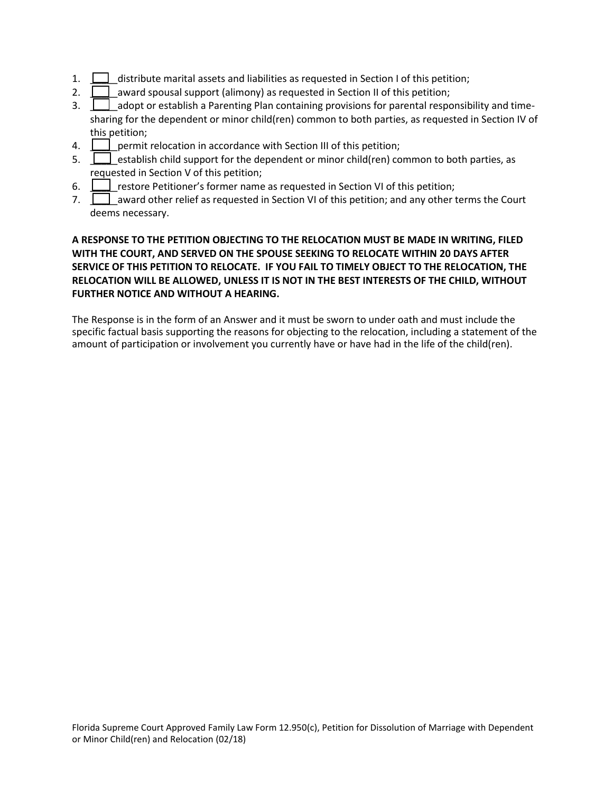- 1.  $\Box$  distribute marital assets and liabilities as requested in Section I of this petition;
- 2.  $\Box$  award spousal support (alimony) as requested in Section II of this petition;
- sharing for the dependent or minor child(ren) common to both parties, as requested in Section IV of 3.  $\Box$  adopt or establish a Parenting Plan containing provisions for parental responsibility and timethis petition;
- 4. **If all permit relocation in accordance with Section III of this petition;**
- 5.  $\Box$  establish child support for the dependent or minor child(ren) common to both parties, as requested in Section V of this petition;
- 6.  $\Box$  restore Petitioner's former name as requested in Section VI of this petition;
- 7. **If a** award other relief as requested in Section VI of this petition; and any other terms the Court deems necessary.

## **SERVICE OF THIS PETITION TO RELOCATE. IF YOU FAIL TO TIMELY OBJECT TO THE RELOCATION, THE RELOCATION WILL BE ALLOWED, UNLESS IT IS NOT IN THE BEST INTERESTS OF THE CHILD, WITHOUT FURTHER NOTICE AND WITHOUT A HEARING. A RESPONSE TO THE PETITION OBJECTING TO THE RELOCATION MUST BE MADE IN WRITING, FILED WITH THE COURT, AND SERVED ON THE SPOUSE SEEKING TO RELOCATE WITHIN 20 DAYS AFTER**

The Response is in the form of an Answer and it must be sworn to under oath and must include the specific factual basis supporting the reasons for objecting to the relocation, including a statement of the amount of participation or involvement you currently have or have had in the life of the child(ren).